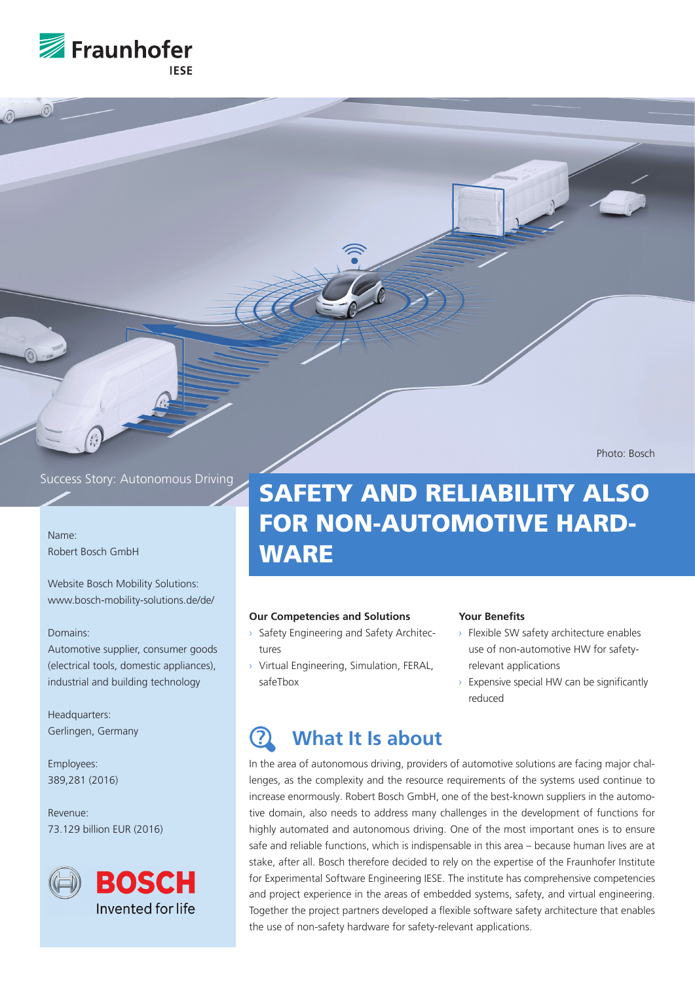

Photo: Bosch

## Success Story: Autonomous Driving

Name: Robert Bosch GmbH

Website Bosch Mobility Solutions: www.bosch-mobility-solutions.de/de/

### Domains:

Automotive supplier, consumer goods (electrical tools, domestic appliances), industrial and building technology

Headquarters: Gerlingen, Germany

Employees: 389,281 (2016)

Revenue: 73.129 billion EUR (2016)



# SAFETY AND RELIABILITY ALSO FOR NON-AUTOMOTIVE HARD-**WARE**

### **Our Competencies and Solutions**

- › Safety Engineering and Safety Architectures
- › Virtual Engineering, Simulation, FERAL, safeTbox

### **Your Benefits**

- › Flexible SW safety architecture enables use of non-automotive HW for safetyrelevant applications
- Expensive special HW can be significantly reduced

### **What It Is about ?**

In the area of autonomous driving, providers of automotive solutions are facing major challenges, as the complexity and the resource requirements of the systems used continue to increase enormously. Robert Bosch GmbH, one of the best-known suppliers in the automotive domain, also needs to address many challenges in the development of functions for highly automated and autonomous driving. One of the most important ones is to ensure safe and reliable functions, which is indispensable in this area – because human lives are at stake, after all. Bosch therefore decided to rely on the expertise of the Fraunhofer Institute for Experimental Software Engineering IESE. The institute has comprehensive competencies and project experience in the areas of embedded systems, safety, and virtual engineering. Together the project partners developed a flexible software safety architecture that enables the use of non-safety hardware for safety-relevant applications.